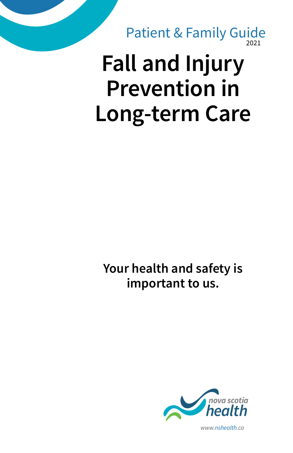2021 Patient & Family Guide

# **Fall and Injury Prevention in Long-term Care**

**Your health and safety is important to us.**



*www.nshealth.ca*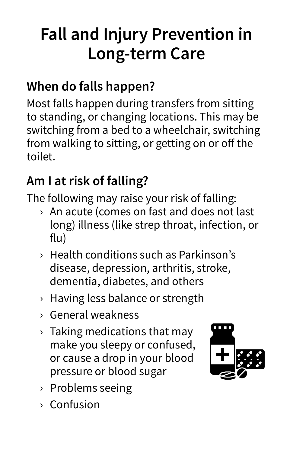## **Fall and Injury Prevention in Long-term Care**

#### **When do falls happen?**

Most falls happen during transfers from sitting to standing, or changing locations. This may be switching from a bed to a wheelchair, switching from walking to sitting, or getting on or off the toilet.

### **Am I at risk of falling?**

The following may raise your risk of falling:

- › An acute (comes on fast and does not last long) illness (like strep throat, infection, or flu)
- › Health conditions such as Parkinson's disease, depression, arthritis, stroke, dementia, diabetes, and others
- › Having less balance or strength
- › General weakness
- › Taking medications that may make you sleepy or confused, or cause a drop in your blood pressure or blood sugar



- › Problems seeing
- › Confusion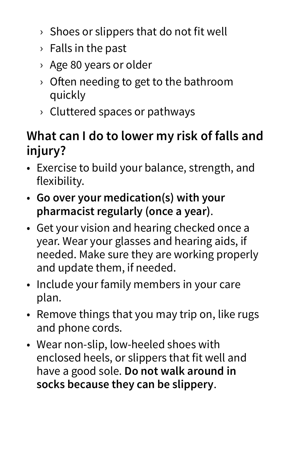- $\rightarrow$  Shoes or slippers that do not fit well
- › Falls in the past
- › Age 80 years or older
- › Often needing to get to the bathroom quickly
- › Cluttered spaces or pathways

#### **What can I do to lower my risk of falls and injury?**

- Exercise to build your balance, strength, and flexibility.
- **Go over your medication(s) with your pharmacist regularly (once a year)**.
- Get your vision and hearing checked once a year. Wear your glasses and hearing aids, if needed. Make sure they are working properly and update them, if needed.
- Include your family members in your care plan.
- Remove things that you may trip on, like rugs and phone cords.
- Wear non-slip, low-heeled shoes with enclosed heels, or slippers that fit well and have a good sole. **Do not walk around in socks because they can be slippery**.